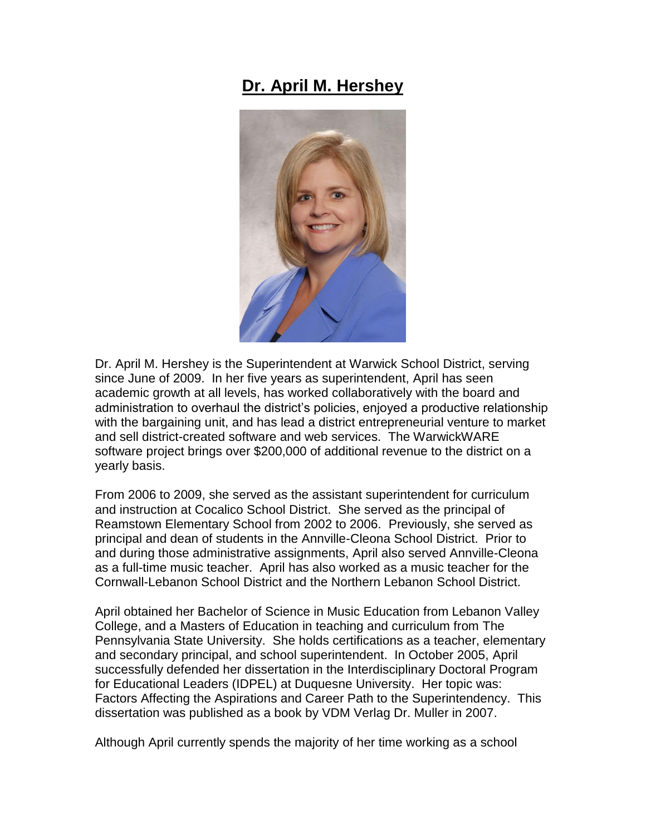## **Dr. April M. Hershey**



Dr. April M. Hershey is the Superintendent at Warwick School District, serving since June of 2009. In her five years as superintendent, April has seen academic growth at all levels, has worked collaboratively with the board and administration to overhaul the district's policies, enjoyed a productive relationship with the bargaining unit, and has lead a district entrepreneurial venture to market and sell district-created software and web services. The WarwickWARE software project brings over \$200,000 of additional revenue to the district on a yearly basis.

From 2006 to 2009, she served as the assistant superintendent for curriculum and instruction at Cocalico School District. She served as the principal of Reamstown Elementary School from 2002 to 2006. Previously, she served as principal and dean of students in the Annville-Cleona School District. Prior to and during those administrative assignments, April also served Annville-Cleona as a full-time music teacher. April has also worked as a music teacher for the Cornwall-Lebanon School District and the Northern Lebanon School District.

April obtained her Bachelor of Science in Music Education from Lebanon Valley College, and a Masters of Education in teaching and curriculum from The Pennsylvania State University. She holds certifications as a teacher, elementary and secondary principal, and school superintendent. In October 2005, April successfully defended her dissertation in the Interdisciplinary Doctoral Program for Educational Leaders (IDPEL) at Duquesne University. Her topic was: Factors Affecting the Aspirations and Career Path to the Superintendency. This dissertation was published as a book by VDM Verlag Dr. Muller in 2007.

Although April currently spends the majority of her time working as a school